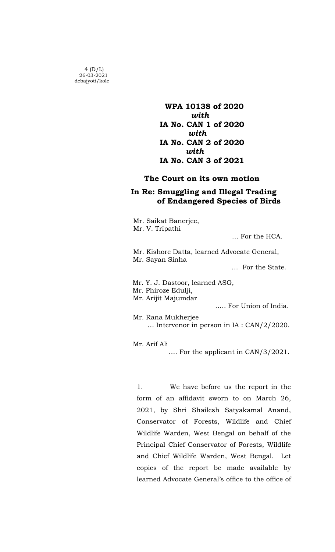$4(D/L)$  26-03-2021 debajyoti/kole

 WPA 10138 of 2020 *with* IA No. CAN 1 of 2020 *with the contract of the contract of the contract of the contract of the contract of the contract of the contract of the contract of the contract of the contract of the contract of the contract of the contract of the con*  IA No. CAN 2 of 2020 *with* with IA No. CAN 3 of 2021

## The Court on its own motion

## In Re: Smuggling and Illegal Trading of Endangered Species of Birds

 Mr. Saikat Banerjee, Mr. V. Tripathi

… For the HCA.

 Mr. Kishore Datta, learned Advocate General, Mr. Sayan Sinha

… For the State.

Mr. Y. J. Dastoor, learned ASG,

Mr. Phiroze Edulji,

Mr. Arijit Majumdar

….. For Union of India.

Mr. Rana Mukherjee … Intervenor in person in IA : CAN/2/2020.

Mr. Arif Ali

…. For the applicant in CAN/3/2021.

1. We have before us the report in the form of an affidavit sworn to on March 26, 2021, by Shri Shailesh Satyakamal Anand, Conservator of Forests, Wildlife and Chief Wildlife Warden, West Bengal on behalf of the Principal Chief Conservator of Forests, Wildlife and Chief Wildlife Warden, West Bengal. Let copies of the report be made available by learned Advocate General's office to the office of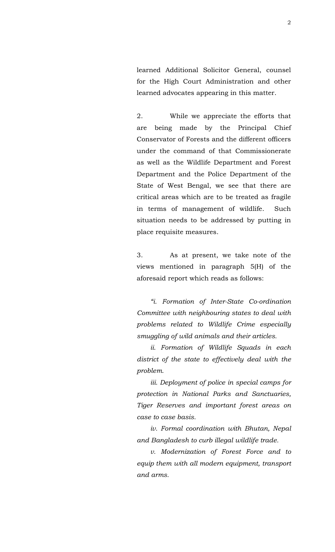learned Additional Solicitor General, counsel for the High Court Administration and other learned advocates appearing in this matter.

2. While we appreciate the efforts that are being made by the Principal Chief Conservator of Forests and the different officers under the command of that Commissionerate as well as the Wildlife Department and Forest Department and the Police Department of the State of West Bengal, we see that there are critical areas which are to be treated as fragile in terms of management of wildlife. Such situation needs to be addressed by putting in place requisite measures.

3. As at present, we take note of the views mentioned in paragraph 5(H) of the aforesaid report which reads as follows:

*"i. Formation of Inter-State Co-ordination Committee with neighbouring states to deal with problems related to Wildlife Crime especially smuggling of wild animals and their articles.*

*ii. Formation of Wildlife Squads in each district of the state to effectively deal with the problem.*

*iii. Deployment of police in special camps for protection in National Parks and Sanctuaries, Tiger Reserves and important forest areas on case to case basis.*

*iv. Formal coordination with Bhutan, Nepal and Bangladesh to curb illegal wildlife trade.*

*v. Modernization of Forest Force and to equip them with all modern equipment, transport and arms.*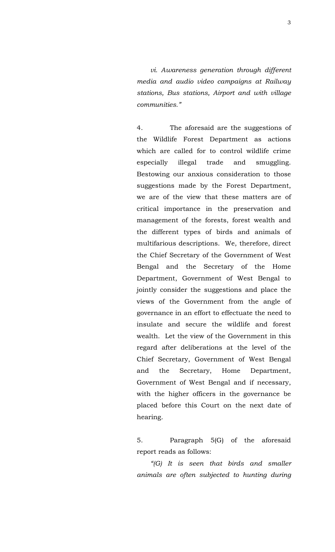*vi. Awareness generation through different media and audio video campaigns at Railway stations, Bus stations, Airport and with village communities."*

4. The aforesaid are the suggestions of the Wildlife Forest Department as actions which are called for to control wildlife crime especially illegal trade and smuggling. Bestowing our anxious consideration to those suggestions made by the Forest Department, we are of the view that these matters are of critical importance in the preservation and management of the forests, forest wealth and the different types of birds and animals of multifarious descriptions. We, therefore, direct the Chief Secretary of the Government of West Bengal and the Secretary of the Home Department, Government of West Bengal to jointly consider the suggestions and place the views of the Government from the angle of governance in an effort to effectuate the need to insulate and secure the wildlife and forest wealth. Let the view of the Government in this regard after deliberations at the level of the Chief Secretary, Government of West Bengal and the Secretary, Home Department, Government of West Bengal and if necessary, with the higher officers in the governance be placed before this Court on the next date of hearing.

5. Paragraph 5(G) of the aforesaid report reads as follows:

*"(G) It is seen that birds and smaller animals are often subjected to hunting during*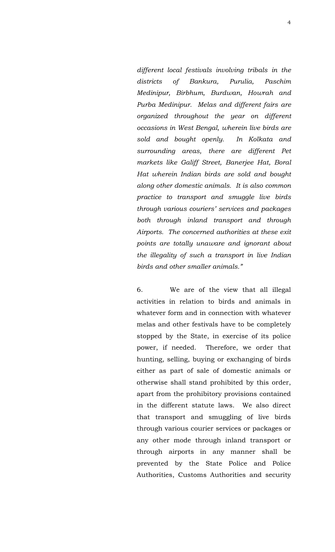*different local festivals involving tribals in the districts of Bankura, Purulia, Paschim Medinipur, Birbhum, Burdwan, Howrah and Purba Medinipur. Melas and different fairs are organized throughout the year on different occasions in West Bengal, wherein live birds are sold and bought openly. In Kolkata and surrounding areas, there are different Pet markets like Galiff Street, Banerjee Hat, Boral Hat wherein Indian birds are sold and bought along other domestic animals. It is also common practice to transport and smuggle live birds through various couriers' services and packages both through inland transport and through Airports. The concerned authorities at these exit points are totally unaware and ignorant about the illegality of such a transport in live Indian birds and other smaller animals."*

6. We are of the view that all illegal activities in relation to birds and animals in whatever form and in connection with whatever melas and other festivals have to be completely stopped by the State, in exercise of its police power, if needed. Therefore, we order that hunting, selling, buying or exchanging of birds either as part of sale of domestic animals or otherwise shall stand prohibited by this order, apart from the prohibitory provisions contained in the different statute laws. We also direct that transport and smuggling of live birds through various courier services or packages or any other mode through inland transport or through airports in any manner shall be prevented by the State Police and Police Authorities, Customs Authorities and security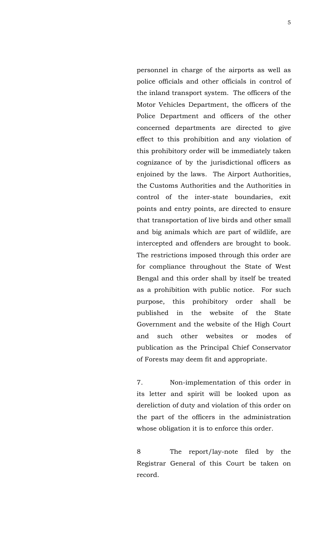personnel in charge of the airports as well as police officials and other officials in control of the inland transport system. The officers of the Motor Vehicles Department, the officers of the Police Department and officers of the other concerned departments are directed to give effect to this prohibition and any violation of this prohibitory order will be immediately taken cognizance of by the jurisdictional officers as enjoined by the laws. The Airport Authorities, the Customs Authorities and the Authorities in control of the inter-state boundaries, exit points and entry points, are directed to ensure that transportation of live birds and other small and big animals which are part of wildlife, are intercepted and offenders are brought to book. The restrictions imposed through this order are for compliance throughout the State of West Bengal and this order shall by itself be treated as a prohibition with public notice. For such purpose, this prohibitory order shall be published in the website of the State Government and the website of the High Court and such other websites or modes of publication as the Principal Chief Conservator of Forests may deem fit and appropriate.

7. Non-implementation of this order in its letter and spirit will be looked upon as dereliction of duty and violation of this order on the part of the officers in the administration whose obligation it is to enforce this order.

8 The report/lay-note filed by the Registrar General of this Court be taken on record.